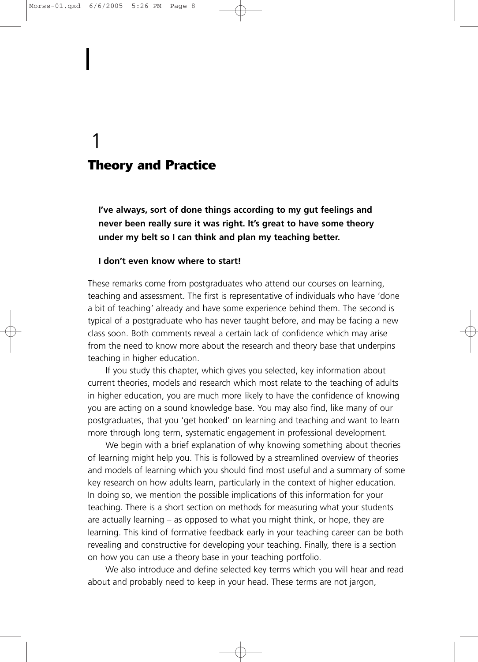1

## **Theory and Practice**

**I've always, sort of done things according to my gut feelings and never been really sure it was right. It's great to have some theory under my belt so I can think and plan my teaching better.**

### **I don't even know where to start!**

These remarks come from postgraduates who attend our courses on learning, teaching and assessment. The first is representative of individuals who have 'done a bit of teaching*'* already and have some experience behind them. The second is typical of a postgraduate who has never taught before, and may be facing a new class soon. Both comments reveal a certain lack of confidence which may arise from the need to know more about the research and theory base that underpins teaching in higher education.

If you study this chapter, which gives you selected, key information about current theories, models and research which most relate to the teaching of adults in higher education, you are much more likely to have the confidence of knowing you are acting on a sound knowledge base. You may also find, like many of our postgraduates, that you 'get hooked' on learning and teaching and want to learn more through long term, systematic engagement in professional development.

We begin with a brief explanation of why knowing something about theories of learning might help you. This is followed by a streamlined overview of theories and models of learning which you should find most useful and a summary of some key research on how adults learn, particularly in the context of higher education. In doing so, we mention the possible implications of this information for your teaching. There is a short section on methods for measuring what your students are actually learning – as opposed to what you might think, or hope, they are learning. This kind of formative feedback early in your teaching career can be both revealing and constructive for developing your teaching. Finally, there is a section on how you can use a theory base in your teaching portfolio.

We also introduce and define selected key terms which you will hear and read about and probably need to keep in your head. These terms are not jargon,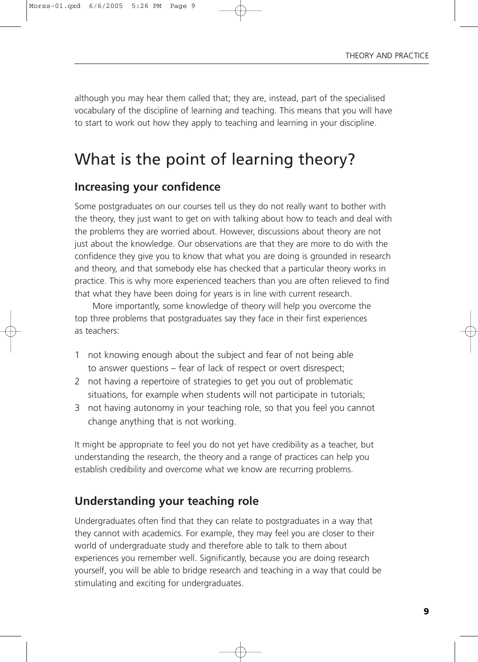although you may hear them called that; they are, instead, part of the specialised vocabulary of the discipline of learning and teaching. This means that you will have to start to work out how they apply to teaching and learning in your discipline.

# What is the point of learning theory?

### **Increasing your confidence**

Some postgraduates on our courses tell us they do not really want to bother with the theory, they just want to get on with talking about how to teach and deal with the problems they are worried about. However, discussions about theory are not just about the knowledge. Our observations are that they are more to do with the confidence they give you to know that what you are doing is grounded in research and theory, and that somebody else has checked that a particular theory works in practice. This is why more experienced teachers than you are often relieved to find that what they have been doing for years is in line with current research.

More importantly, some knowledge of theory will help you overcome the top three problems that postgraduates say they face in their first experiences as teachers:

- 1 not knowing enough about the subject and fear of not being able to answer questions – fear of lack of respect or overt disrespect;
- 2 not having a repertoire of strategies to get you out of problematic situations, for example when students will not participate in tutorials;
- 3 not having autonomy in your teaching role, so that you feel you cannot change anything that is not working.

It might be appropriate to feel you do not yet have credibility as a teacher, but understanding the research, the theory and a range of practices can help you establish credibility and overcome what we know are recurring problems.

## **Understanding your teaching role**

Undergraduates often find that they can relate to postgraduates in a way that they cannot with academics. For example, they may feel you are closer to their world of undergraduate study and therefore able to talk to them about experiences you remember well. Significantly, because you are doing research yourself, you will be able to bridge research and teaching in a way that could be stimulating and exciting for undergraduates.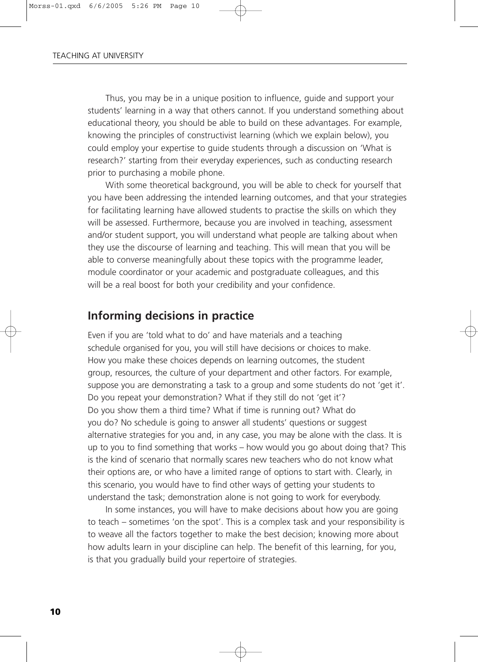Thus, you may be in a unique position to influence, guide and support your students' learning in a way that others cannot. If you understand something about educational theory, you should be able to build on these advantages. For example, knowing the principles of constructivist learning (which we explain below), you could employ your expertise to guide students through a discussion on 'What is research?' starting from their everyday experiences, such as conducting research prior to purchasing a mobile phone.

With some theoretical background, you will be able to check for yourself that you have been addressing the intended learning outcomes, and that your strategies for facilitating learning have allowed students to practise the skills on which they will be assessed. Furthermore, because you are involved in teaching, assessment and/or student support, you will understand what people are talking about when they use the discourse of learning and teaching. This will mean that you will be able to converse meaningfully about these topics with the programme leader, module coordinator or your academic and postgraduate colleagues, and this will be a real boost for both your credibility and your confidence.

### **Informing decisions in practice**

Even if you are 'told what to do' and have materials and a teaching schedule organised for you, you will still have decisions or choices to make. How you make these choices depends on learning outcomes, the student group, resources, the culture of your department and other factors. For example, suppose you are demonstrating a task to a group and some students do not 'get it'. Do you repeat your demonstration? What if they still do not 'get it'? Do you show them a third time? What if time is running out? What do you do? No schedule is going to answer all students' questions or suggest alternative strategies for you and, in any case, you may be alone with the class. It is up to you to find something that works – how would you go about doing that? This is the kind of scenario that normally scares new teachers who do not know what their options are, or who have a limited range of options to start with. Clearly, in this scenario, you would have to find other ways of getting your students to understand the task; demonstration alone is not going to work for everybody.

In some instances, you will have to make decisions about how you are going to teach – sometimes 'on the spot'. This is a complex task and your responsibility is to weave all the factors together to make the best decision; knowing more about how adults learn in your discipline can help. The benefit of this learning, for you, is that you gradually build your repertoire of strategies.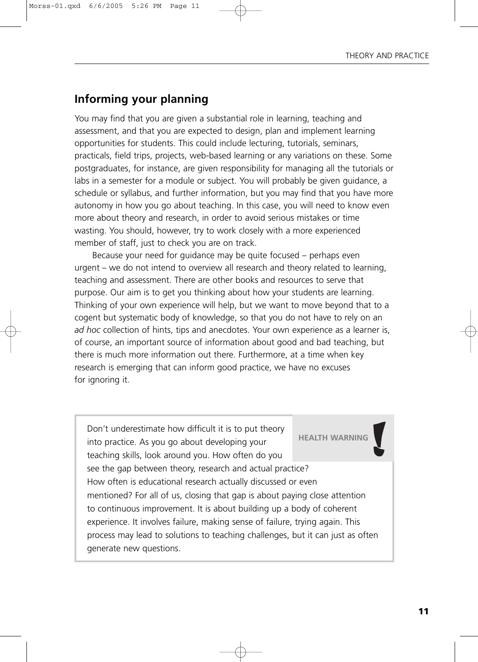## **Informing your planning**

You may find that you are given a substantial role in learning, teaching and assessment, and that you are expected to design, plan and implement learning opportunities for students. This could include lecturing, tutorials, seminars, practicals, field trips, projects, web-based learning or any variations on these. Some postgraduates, for instance, are given responsibility for managing all the tutorials or labs in a semester for a module or subject. You will probably be given guidance, a schedule or syllabus, and further information, but you may find that you have more autonomy in how you go about teaching. In this case, you will need to know even more about theory and research, in order to avoid serious mistakes or time wasting. You should, however, try to work closely with a more experienced member of staff, just to check you are on track.

Because your need for guidance may be quite focused – perhaps even urgent – we do not intend to overview all research and theory related to learning, teaching and assessment. There are other books and resources to serve that purpose. Our aim is to get you thinking about how your students are learning. Thinking of your own experience will help, but we want to move beyond that to a cogent but systematic body of knowledge, so that you do not have to rely on an *ad hoc* collection of hints, tips and anecdotes. Your own experience as a learner is, of course, an important source of information about good and bad teaching, but there is much more information out there. Furthermore, at a time when key research is emerging that can inform good practice, we have no excuses for ignoring it.

Don't underestimate how difficult it is to put theory into practice. As you go about developing your teaching skills, look around you. How often do you see the gap between theory, research and actual practice? How often is educational research actually discussed or even mentioned? For all of us, closing that gap is about paying close attention to continuous improvement. It is about building up a body of coherent experience. It involves failure, making sense of failure, trying again. This process may lead to solutions to teaching challenges, but it can just as often generate new questions. **HEALTH WARNING**

**11**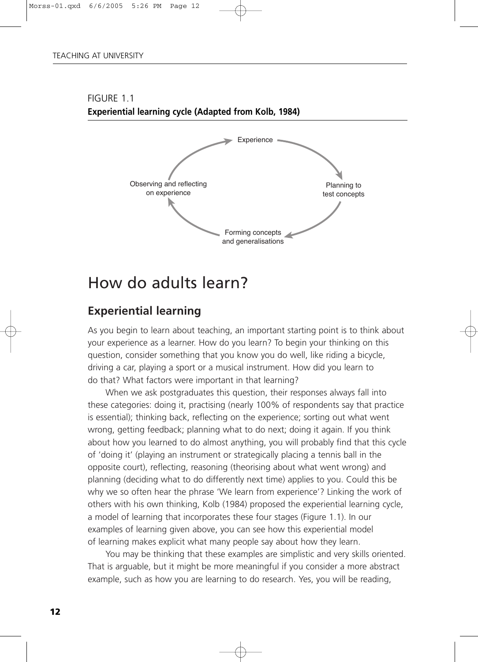FIGURE 1.1



# How do adults learn?

### **Experiential learning**

As you begin to learn about teaching, an important starting point is to think about your experience as a learner. How do you learn? To begin your thinking on this question, consider something that you know you do well, like riding a bicycle, driving a car, playing a sport or a musical instrument. How did you learn to do that? What factors were important in that learning?

When we ask postgraduates this question, their responses always fall into these categories: doing it, practising (nearly 100% of respondents say that practice is essential); thinking back, reflecting on the experience; sorting out what went wrong, getting feedback; planning what to do next; doing it again. If you think about how you learned to do almost anything, you will probably find that this cycle of 'doing it' (playing an instrument or strategically placing a tennis ball in the opposite court), reflecting, reasoning (theorising about what went wrong) and planning (deciding what to do differently next time) applies to you. Could this be why we so often hear the phrase 'We learn from experience'? Linking the work of others with his own thinking, Kolb (1984) proposed the experiential learning cycle, a model of learning that incorporates these four stages (Figure 1.1). In our examples of learning given above, you can see how this experiential model of learning makes explicit what many people say about how they learn.

You may be thinking that these examples are simplistic and very skills oriented. That is arguable, but it might be more meaningful if you consider a more abstract example, such as how you are learning to do research. Yes, you will be reading,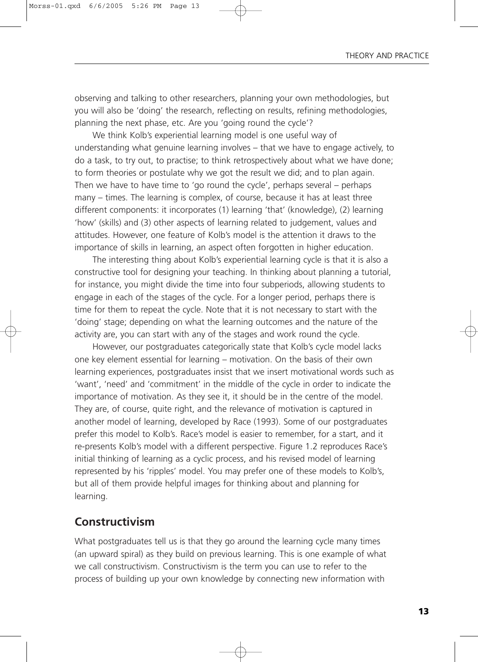observing and talking to other researchers, planning your own methodologies, but you will also be 'doing' the research, reflecting on results, refining methodologies, planning the next phase, etc. Are you 'going round the cycle'?

We think Kolb's experiential learning model is one useful way of understanding what genuine learning involves – that we have to engage actively, to do a task, to try out, to practise; to think retrospectively about what we have done; to form theories or postulate why we got the result we did; and to plan again. Then we have to have time to 'go round the cycle', perhaps several – perhaps many – times. The learning is complex, of course, because it has at least three different components: it incorporates (1) learning 'that' (knowledge), (2) learning 'how' (skills) and (3) other aspects of learning related to judgement, values and attitudes. However, one feature of Kolb's model is the attention it draws to the importance of skills in learning, an aspect often forgotten in higher education.

The interesting thing about Kolb's experiential learning cycle is that it is also a constructive tool for designing your teaching. In thinking about planning a tutorial, for instance, you might divide the time into four subperiods, allowing students to engage in each of the stages of the cycle. For a longer period, perhaps there is time for them to repeat the cycle. Note that it is not necessary to start with the 'doing' stage; depending on what the learning outcomes and the nature of the activity are, you can start with any of the stages and work round the cycle.

However, our postgraduates categorically state that Kolb's cycle model lacks one key element essential for learning – motivation. On the basis of their own learning experiences, postgraduates insist that we insert motivational words such as 'want', 'need' and 'commitment' in the middle of the cycle in order to indicate the importance of motivation. As they see it, it should be in the centre of the model. They are, of course, quite right, and the relevance of motivation is captured in another model of learning, developed by Race (1993). Some of our postgraduates prefer this model to Kolb's. Race's model is easier to remember, for a start, and it re-presents Kolb's model with a different perspective. Figure 1.2 reproduces Race's initial thinking of learning as a cyclic process, and his revised model of learning represented by his 'ripples' model. You may prefer one of these models to Kolb's, but all of them provide helpful images for thinking about and planning for learning.

## **Constructivism**

What postgraduates tell us is that they go around the learning cycle many times (an upward spiral) as they build on previous learning. This is one example of what we call constructivism. Constructivism is the term you can use to refer to the process of building up your own knowledge by connecting new information with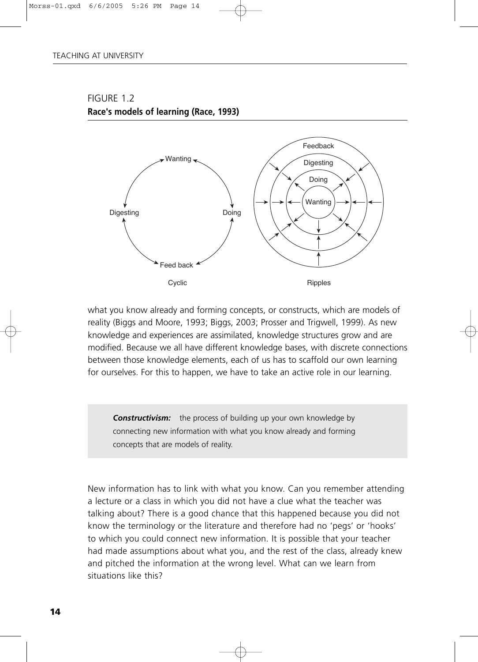



what you know already and forming concepts, or constructs, which are models of reality (Biggs and Moore, 1993; Biggs, 2003; Prosser and Trigwell, 1999). As new knowledge and experiences are assimilated, knowledge structures grow and are modified. Because we all have different knowledge bases, with discrete connections between those knowledge elements, each of us has to scaffold our own learning for ourselves. For this to happen, we have to take an active role in our learning.

*Constructivism:* the process of building up your own knowledge by connecting new information with what you know already and forming concepts that are models of reality.

New information has to link with what you know. Can you remember attending a lecture or a class in which you did not have a clue what the teacher was talking about? There is a good chance that this happened because you did not know the terminology or the literature and therefore had no 'pegs' or 'hooks' to which you could connect new information. It is possible that your teacher had made assumptions about what you, and the rest of the class, already knew and pitched the information at the wrong level. What can we learn from situations like this?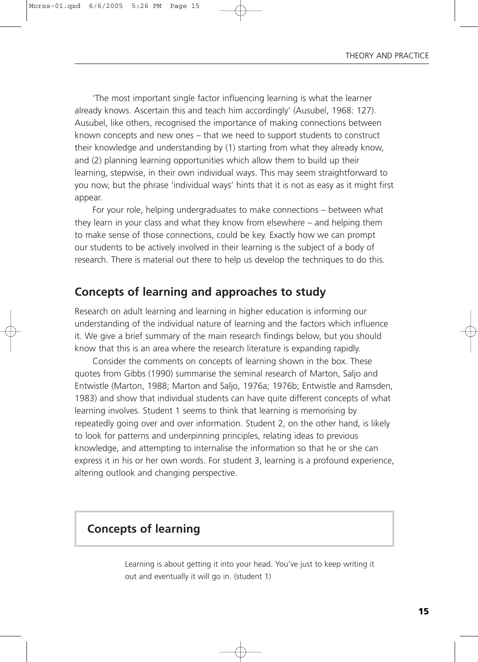Morss-01.qxd 6/6/2005 5:26 PM Page 15

'The most important single factor influencing learning is what the learner already knows. Ascertain this and teach him accordingly' (Ausubel, 1968: 127). Ausubel, like others, recognised the importance of making connections between known concepts and new ones – that we need to support students to construct their knowledge and understanding by (1) starting from what they already know, and (2) planning learning opportunities which allow them to build up their learning, stepwise, in their own individual ways. This may seem straightforward to you now, but the phrase 'individual ways' hints that it is not as easy as it might first appear.

For your role, helping undergraduates to make connections – between what they learn in your class and what they know from elsewhere – and helping them to make sense of those connections, could be key. Exactly how we can prompt our students to be actively involved in their learning is the subject of a body of research. There is material out there to help us develop the techniques to do this.

## **Concepts of learning and approaches to study**

Research on adult learning and learning in higher education is informing our understanding of the individual nature of learning and the factors which influence it. We give a brief summary of the main research findings below, but you should know that this is an area where the research literature is expanding rapidly.

Consider the comments on concepts of learning shown in the box. These quotes from Gibbs (1990) summarise the seminal research of Marton, Saljo and Entwistle (Marton, 1988; Marton and Saljo, 1976a; 1976b; Entwistle and Ramsden, 1983) and show that individual students can have quite different concepts of what learning involves. Student 1 seems to think that learning is memorising by repeatedly going over and over information. Student 2, on the other hand, is likely to look for patterns and underpinning principles, relating ideas to previous knowledge, and attempting to internalise the information so that he or she can express it in his or her own words. For student 3, learning is a profound experience, altering outlook and changing perspective.

## **Concepts of learning**

Learning is about getting it into your head. You've just to keep writing it out and eventually it will go in. (student 1)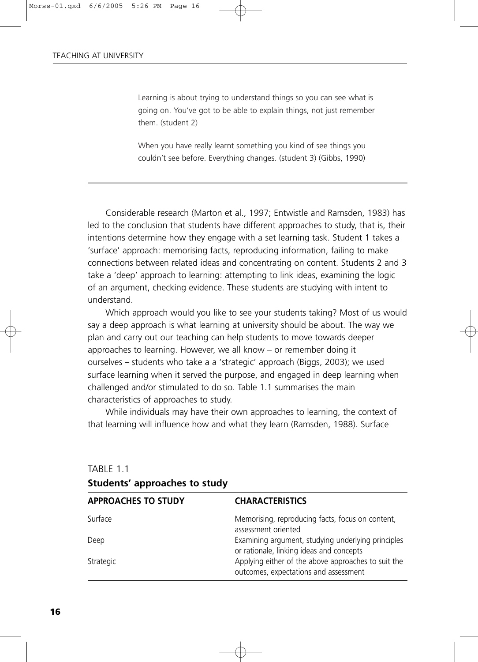Learning is about trying to understand things so you can see what is going on. You've got to be able to explain things, not just remember them. (student 2)

When you have really learnt something you kind of see things you couldn't see before. Everything changes. (student 3) (Gibbs, 1990)

Considerable research (Marton et al., 1997; Entwistle and Ramsden, 1983) has led to the conclusion that students have different approaches to study, that is, their intentions determine how they engage with a set learning task. Student 1 takes a 'surface' approach: memorising facts, reproducing information, failing to make connections between related ideas and concentrating on content. Students 2 and 3 take a 'deep' approach to learning: attempting to link ideas, examining the logic of an argument, checking evidence. These students are studying with intent to understand.

Which approach would you like to see your students taking? Most of us would say a deep approach is what learning at university should be about. The way we plan and carry out our teaching can help students to move towards deeper approaches to learning. However, we all know – or remember doing it ourselves – students who take a a 'strategic' approach (Biggs, 2003); we used surface learning when it served the purpose, and engaged in deep learning when challenged and/or stimulated to do so. Table 1.1 summarises the main characteristics of approaches to study.

While individuals may have their own approaches to learning, the context of that learning will influence how and what they learn (Ramsden, 1988). Surface

| students approaches to study |                                                                                                |
|------------------------------|------------------------------------------------------------------------------------------------|
| <b>APPROACHES TO STUDY</b>   | <b>CHARACTERISTICS</b>                                                                         |
| Surface                      | Memorising, reproducing facts, focus on content,<br>assessment oriented                        |
| Deep                         | Examining argument, studying underlying principles<br>or rationale, linking ideas and concepts |
| Strategic                    | Applying either of the above approaches to suit the<br>outcomes, expectations and assessment   |

## TABLE 1.1 **Students' approaches to study**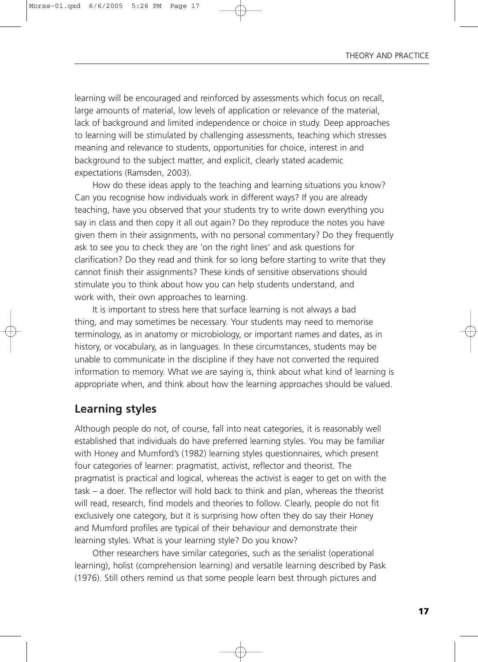Morss-01.qxd 6/6/2005 5:26 PM Page 17

learning will be encouraged and reinforced by assessments which focus on recall, large amounts of material, low levels of application or relevance of the material, lack of background and limited independence or choice in study. Deep approaches to learning will be stimulated by challenging assessments, teaching which stresses meaning and relevance to students, opportunities for choice, interest in and background to the subject matter, and explicit, clearly stated academic expectations (Ramsden, 2003).

How do these ideas apply to the teaching and learning situations you know? Can you recognise how individuals work in different ways? If you are already teaching, have you observed that your students try to write down everything you say in class and then copy it all out again? Do they reproduce the notes you have given them in their assignments, with no personal commentary? Do they frequently ask to see you to check they are 'on the right lines' and ask questions for clarification? Do they read and think for so long before starting to write that they cannot finish their assignments? These kinds of sensitive observations should stimulate you to think about how you can help students understand, and work with, their own approaches to learning.

It is important to stress here that surface learning is not always a bad thing, and may sometimes be necessary. Your students may need to memorise terminology, as in anatomy or microbiology, or important names and dates, as in history, or vocabulary, as in languages. In these circumstances, students may be unable to communicate in the discipline if they have not converted the required information to memory. What we are saying is, think about what kind of learning is appropriate when, and think about how the learning approaches should be valued.

### **Learning styles**

Although people do not, of course, fall into neat categories, it is reasonably well established that individuals do have preferred learning styles. You may be familiar with Honey and Mumford's (1982) learning styles questionnaires, which present four categories of learner: pragmatist, activist, reflector and theorist. The pragmatist is practical and logical, whereas the activist is eager to get on with the task – a doer. The reflector will hold back to think and plan, whereas the theorist will read, research, find models and theories to follow. Clearly, people do not fit exclusively one category, but it is surprising how often they do say their Honey and Mumford profiles are typical of their behaviour and demonstrate their learning styles. What is your learning style? Do you know?

Other researchers have similar categories, such as the serialist (operational learning), holist (comprehension learning) and versatile learning described by Pask (1976). Still others remind us that some people learn best through pictures and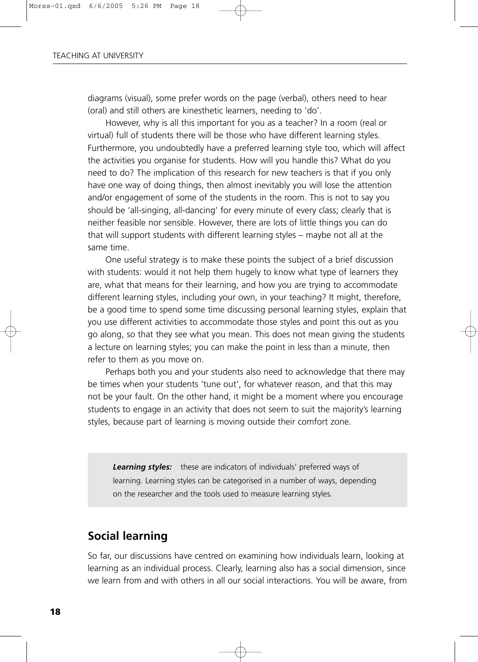diagrams (visual), some prefer words on the page (verbal), others need to hear (oral) and still others are kinesthetic learners, needing to 'do'.

However, why is all this important for you as a teacher? In a room (real or virtual) full of students there will be those who have different learning styles. Furthermore, you undoubtedly have a preferred learning style too, which will affect the activities you organise for students. How will you handle this? What do you need to do? The implication of this research for new teachers is that if you only have one way of doing things, then almost inevitably you will lose the attention and/or engagement of some of the students in the room. This is not to say you should be 'all-singing, all-dancing' for every minute of every class; clearly that is neither feasible nor sensible. However, there are lots of little things you can do that will support students with different learning styles – maybe not all at the same time.

One useful strategy is to make these points the subject of a brief discussion with students: would it not help them hugely to know what type of learners they are, what that means for their learning, and how you are trying to accommodate different learning styles, including your own, in your teaching? It might, therefore, be a good time to spend some time discussing personal learning styles, explain that you use different activities to accommodate those styles and point this out as you go along, so that they see what you mean. This does not mean giving the students a lecture on learning styles; you can make the point in less than a minute, then refer to them as you move on.

Perhaps both you and your students also need to acknowledge that there may be times when your students 'tune out', for whatever reason, and that this may not be your fault. On the other hand, it might be a moment where you encourage students to engage in an activity that does not seem to suit the majority's learning styles, because part of learning is moving outside their comfort zone.

Learning styles: these are indicators of individuals' preferred ways of learning. Learning styles can be categorised in a number of ways, depending on the researcher and the tools used to measure learning styles.

## **Social learning**

So far, our discussions have centred on examining how individuals learn, looking at learning as an individual process. Clearly, learning also has a social dimension, since we learn from and with others in all our social interactions. You will be aware, from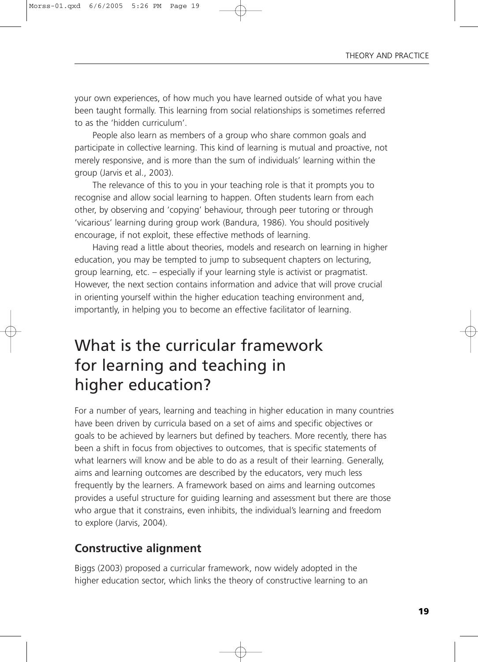your own experiences, of how much you have learned outside of what you have been taught formally. This learning from social relationships is sometimes referred to as the 'hidden curriculum'.

People also learn as members of a group who share common goals and participate in collective learning. This kind of learning is mutual and proactive, not merely responsive, and is more than the sum of individuals' learning within the group (Jarvis et al., 2003).

The relevance of this to you in your teaching role is that it prompts you to recognise and allow social learning to happen. Often students learn from each other, by observing and 'copying' behaviour, through peer tutoring or through 'vicarious' learning during group work (Bandura, 1986). You should positively encourage, if not exploit, these effective methods of learning.

Having read a little about theories, models and research on learning in higher education, you may be tempted to jump to subsequent chapters on lecturing, group learning, etc. – especially if your learning style is activist or pragmatist. However, the next section contains information and advice that will prove crucial in orienting yourself within the higher education teaching environment and, importantly, in helping you to become an effective facilitator of learning.

# What is the curricular framework for learning and teaching in higher education?

For a number of years, learning and teaching in higher education in many countries have been driven by curricula based on a set of aims and specific objectives or goals to be achieved by learners but defined by teachers. More recently, there has been a shift in focus from objectives to outcomes, that is specific statements of what learners will know and be able to do as a result of their learning. Generally, aims and learning outcomes are described by the educators, very much less frequently by the learners. A framework based on aims and learning outcomes provides a useful structure for guiding learning and assessment but there are those who argue that it constrains, even inhibits, the individual's learning and freedom to explore (Jarvis, 2004).

### **Constructive alignment**

Biggs (2003) proposed a curricular framework, now widely adopted in the higher education sector, which links the theory of constructive learning to an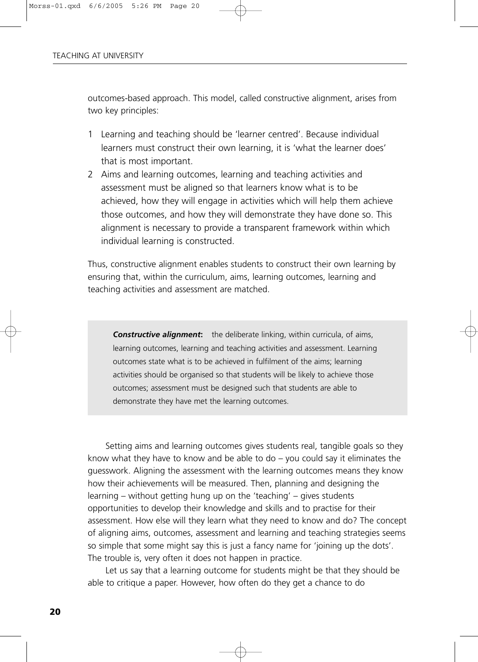outcomes-based approach. This model, called constructive alignment, arises from two key principles:

- 1 Learning and teaching should be 'learner centred'. Because individual learners must construct their own learning, it is 'what the learner does' that is most important.
- 2 Aims and learning outcomes, learning and teaching activities and assessment must be aligned so that learners know what is to be achieved, how they will engage in activities which will help them achieve those outcomes, and how they will demonstrate they have done so. This alignment is necessary to provide a transparent framework within which individual learning is constructed.

Thus, constructive alignment enables students to construct their own learning by ensuring that, within the curriculum, aims, learning outcomes, learning and teaching activities and assessment are matched.

**Constructive alignment:** the deliberate linking, within curricula, of aims, learning outcomes, learning and teaching activities and assessment. Learning outcomes state what is to be achieved in fulfilment of the aims; learning activities should be organised so that students will be likely to achieve those outcomes; assessment must be designed such that students are able to demonstrate they have met the learning outcomes.

Setting aims and learning outcomes gives students real, tangible goals so they know what they have to know and be able to  $do - you$  could say it eliminates the guesswork. Aligning the assessment with the learning outcomes means they know how their achievements will be measured. Then, planning and designing the learning – without getting hung up on the 'teaching' – gives students opportunities to develop their knowledge and skills and to practise for their assessment. How else will they learn what they need to know and do? The concept of aligning aims, outcomes, assessment and learning and teaching strategies seems so simple that some might say this is just a fancy name for 'joining up the dots'. The trouble is, very often it does not happen in practice.

Let us say that a learning outcome for students might be that they should be able to critique a paper. However, how often do they get a chance to do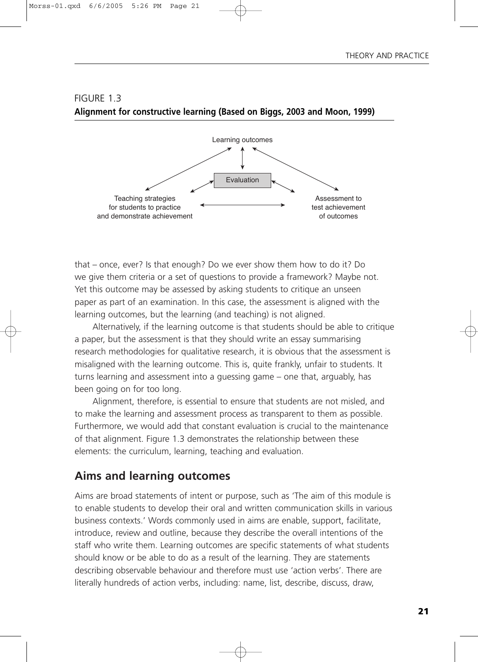### FIGURE 1.3 **Alignment for constructive learning (Based on Biggs, 2003 and Moon, 1999)**



that – once, ever? Is that enough? Do we ever show them how to do it? Do we give them criteria or a set of questions to provide a framework? Maybe not. Yet this outcome may be assessed by asking students to critique an unseen paper as part of an examination. In this case, the assessment is aligned with the learning outcomes, but the learning (and teaching) is not aligned.

Alternatively, if the learning outcome is that students should be able to critique a paper, but the assessment is that they should write an essay summarising research methodologies for qualitative research, it is obvious that the assessment is misaligned with the learning outcome. This is, quite frankly, unfair to students. It turns learning and assessment into a guessing game – one that, arguably, has been going on for too long.

Alignment, therefore, is essential to ensure that students are not misled, and to make the learning and assessment process as transparent to them as possible. Furthermore, we would add that constant evaluation is crucial to the maintenance of that alignment. Figure 1.3 demonstrates the relationship between these elements: the curriculum, learning, teaching and evaluation.

### **Aims and learning outcomes**

Aims are broad statements of intent or purpose, such as 'The aim of this module is to enable students to develop their oral and written communication skills in various business contexts.' Words commonly used in aims are enable, support, facilitate, introduce, review and outline, because they describe the overall intentions of the staff who write them. Learning outcomes are specific statements of what students should know or be able to do as a result of the learning. They are statements describing observable behaviour and therefore must use 'action verbs'. There are literally hundreds of action verbs, including: name, list, describe, discuss, draw,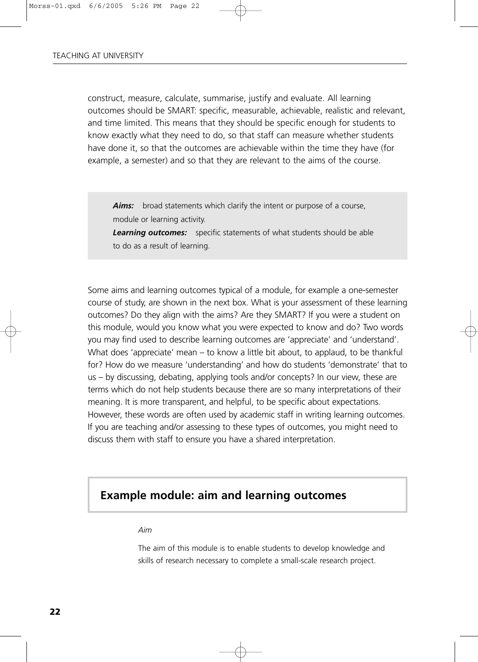construct, measure, calculate, summarise, justify and evaluate. All learning outcomes should be SMART: specific, measurable, achievable, realistic and relevant, and time limited. This means that they should be specific enough for students to know exactly what they need to do, so that staff can measure whether students have done it, so that the outcomes are achievable within the time they have (for example, a semester) and so that they are relevant to the aims of the course.

Aims: broad statements which clarify the intent or purpose of a course, module or learning activity.

*Learning outcomes:* specific statements of what students should be able to do as a result of learning.

Some aims and learning outcomes typical of a module, for example a one-semester course of study, are shown in the next box. What is your assessment of these learning outcomes? Do they align with the aims? Are they SMART? If you were a student on this module, would you know what you were expected to know and do? Two words you may find used to describe learning outcomes are 'appreciate' and 'understand'. What does 'appreciate' mean – to know a little bit about, to applaud, to be thankful for? How do we measure 'understanding' and how do students 'demonstrate' that to us – by discussing, debating, applying tools and/or concepts? In our view, these are terms which do not help students because there are so many interpretations of their meaning. It is more transparent, and helpful, to be specific about expectations. However, these words are often used by academic staff in writing learning outcomes. If you are teaching and/or assessing to these types of outcomes, you might need to discuss them with staff to ensure you have a shared interpretation.

### **Example module: aim and learning outcomes**

#### *Aim*

The aim of this module is to enable students to develop knowledge and skills of research necessary to complete a small-scale research project.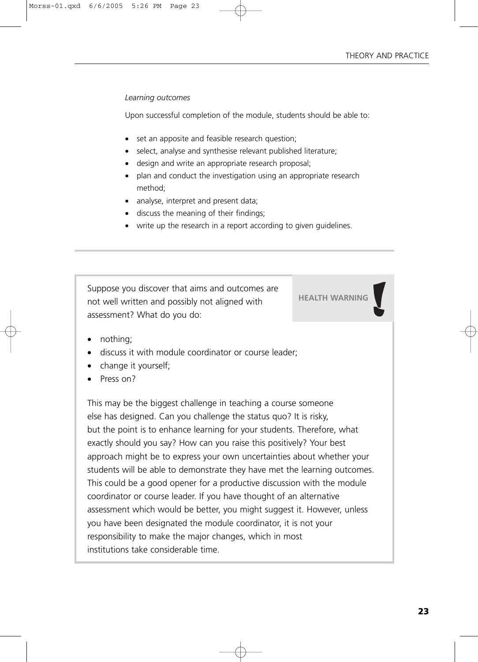### *Learning outcomes*

Upon successful completion of the module, students should be able to:

- set an apposite and feasible research question;
- select, analyse and synthesise relevant published literature;
- design and write an appropriate research proposal;
- plan and conduct the investigation using an appropriate research method;
- analyse, interpret and present data;
- discuss the meaning of their findings;
- write up the research in a report according to given guidelines.

Suppose you discover that aims and outcomes are not well written and possibly not aligned with assessment? What do you do:

**HEALTH WARNING**

- nothing;
- discuss it with module coordinator or course leader;
- change it yourself;
- Press on?

This may be the biggest challenge in teaching a course someone else has designed. Can you challenge the status quo? It is risky, but the point is to enhance learning for your students. Therefore, what exactly should you say? How can you raise this positively? Your best approach might be to express your own uncertainties about whether your students will be able to demonstrate they have met the learning outcomes. This could be a good opener for a productive discussion with the module coordinator or course leader. If you have thought of an alternative assessment which would be better, you might suggest it. However, unless you have been designated the module coordinator, it is not your responsibility to make the major changes, which in most institutions take considerable time.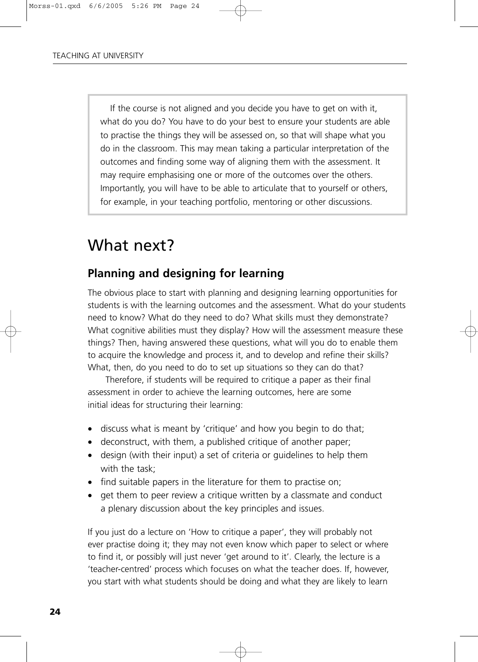If the course is not aligned and you decide you have to get on with it, what do you do? You have to do your best to ensure your students are able to practise the things they will be assessed on, so that will shape what you do in the classroom. This may mean taking a particular interpretation of the outcomes and finding some way of aligning them with the assessment. It may require emphasising one or more of the outcomes over the others. Importantly, you will have to be able to articulate that to yourself or others, for example, in your teaching portfolio, mentoring or other discussions.

# What next?

## **Planning and designing for learning**

The obvious place to start with planning and designing learning opportunities for students is with the learning outcomes and the assessment. What do your students need to know? What do they need to do? What skills must they demonstrate? What cognitive abilities must they display? How will the assessment measure these things? Then, having answered these questions, what will you do to enable them to acquire the knowledge and process it, and to develop and refine their skills? What, then, do you need to do to set up situations so they can do that?

Therefore, if students will be required to critique a paper as their final assessment in order to achieve the learning outcomes, here are some initial ideas for structuring their learning:

- discuss what is meant by 'critique' and how you begin to do that;
- deconstruct, with them, a published critique of another paper;
- design (with their input) a set of criteria or guidelines to help them with the task;
- find suitable papers in the literature for them to practise on;
- get them to peer review a critique written by a classmate and conduct a plenary discussion about the key principles and issues.

If you just do a lecture on 'How to critique a paper', they will probably not ever practise doing it; they may not even know which paper to select or where to find it, or possibly will just never 'get around to it'. Clearly, the lecture is a 'teacher-centred' process which focuses on what the teacher does. If, however, you start with what students should be doing and what they are likely to learn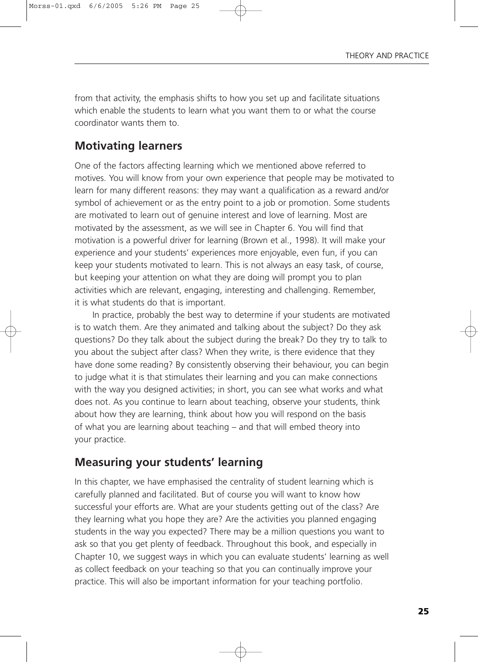from that activity, the emphasis shifts to how you set up and facilitate situations which enable the students to learn what you want them to or what the course coordinator wants them to.

## **Motivating learners**

One of the factors affecting learning which we mentioned above referred to motives. You will know from your own experience that people may be motivated to learn for many different reasons: they may want a qualification as a reward and/or symbol of achievement or as the entry point to a job or promotion. Some students are motivated to learn out of genuine interest and love of learning. Most are motivated by the assessment, as we will see in Chapter 6. You will find that motivation is a powerful driver for learning (Brown et al., 1998). It will make your experience and your students' experiences more enjoyable, even fun, if you can keep your students motivated to learn. This is not always an easy task, of course, but keeping your attention on what they are doing will prompt you to plan activities which are relevant, engaging, interesting and challenging. Remember, it is what students do that is important.

In practice, probably the best way to determine if your students are motivated is to watch them. Are they animated and talking about the subject? Do they ask questions? Do they talk about the subject during the break? Do they try to talk to you about the subject after class? When they write, is there evidence that they have done some reading? By consistently observing their behaviour, you can begin to judge what it is that stimulates their learning and you can make connections with the way you designed activities; in short, you can see what works and what does not. As you continue to learn about teaching, observe your students, think about how they are learning, think about how you will respond on the basis of what you are learning about teaching – and that will embed theory into your practice.

## **Measuring your students' learning**

In this chapter, we have emphasised the centrality of student learning which is carefully planned and facilitated. But of course you will want to know how successful your efforts are. What are your students getting out of the class? Are they learning what you hope they are? Are the activities you planned engaging students in the way you expected? There may be a million questions you want to ask so that you get plenty of feedback. Throughout this book, and especially in Chapter 10, we suggest ways in which you can evaluate students' learning as well as collect feedback on your teaching so that you can continually improve your practice. This will also be important information for your teaching portfolio.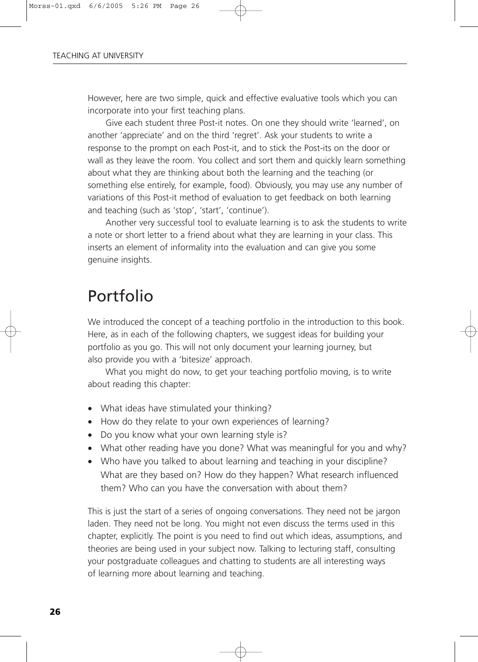However, here are two simple, quick and effective evaluative tools which you can incorporate into your first teaching plans.

Give each student three Post-it notes. On one they should write 'learned', on another 'appreciate' and on the third 'regret'. Ask your students to write a response to the prompt on each Post-it, and to stick the Post-its on the door or wall as they leave the room. You collect and sort them and quickly learn something about what they are thinking about both the learning and the teaching (or something else entirely, for example, food). Obviously, you may use any number of variations of this Post-it method of evaluation to get feedback on both learning and teaching (such as 'stop', 'start', 'continue').

Another very successful tool to evaluate learning is to ask the students to write a note or short letter to a friend about what they are learning in your class. This inserts an element of informality into the evaluation and can give you some genuine insights.

# Portfolio

We introduced the concept of a teaching portfolio in the introduction to this book. Here, as in each of the following chapters, we suggest ideas for building your portfolio as you go. This will not only document your learning journey, but also provide you with a 'bitesize' approach.

What you might do now, to get your teaching portfolio moving, is to write about reading this chapter:

- What ideas have stimulated your thinking?
- How do they relate to your own experiences of learning?
- Do you know what your own learning style is?
- What other reading have you done? What was meaningful for you and why?
- Who have you talked to about learning and teaching in your discipline? What are they based on? How do they happen? What research influenced them? Who can you have the conversation with about them?

This is just the start of a series of ongoing conversations. They need not be jargon laden. They need not be long. You might not even discuss the terms used in this chapter, explicitly. The point is you need to find out which ideas, assumptions, and theories are being used in your subject now. Talking to lecturing staff, consulting your postgraduate colleagues and chatting to students are all interesting ways of learning more about learning and teaching.